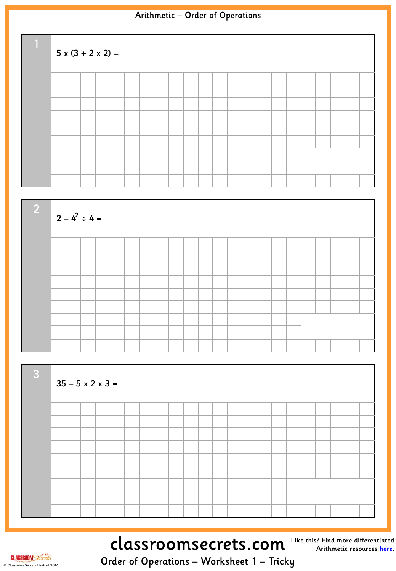| $\overline{1}$ | $5x(3 + 2x2) =$ |  |  |  |  |  |  |  |  |  |  |  |  |  |  |  |  |  |  |
|----------------|-----------------|--|--|--|--|--|--|--|--|--|--|--|--|--|--|--|--|--|--|
|                |                 |  |  |  |  |  |  |  |  |  |  |  |  |  |  |  |  |  |  |
|                |                 |  |  |  |  |  |  |  |  |  |  |  |  |  |  |  |  |  |  |
|                |                 |  |  |  |  |  |  |  |  |  |  |  |  |  |  |  |  |  |  |
|                |                 |  |  |  |  |  |  |  |  |  |  |  |  |  |  |  |  |  |  |
|                |                 |  |  |  |  |  |  |  |  |  |  |  |  |  |  |  |  |  |  |
|                |                 |  |  |  |  |  |  |  |  |  |  |  |  |  |  |  |  |  |  |
|                |                 |  |  |  |  |  |  |  |  |  |  |  |  |  |  |  |  |  |  |
|                |                 |  |  |  |  |  |  |  |  |  |  |  |  |  |  |  |  |  |  |
|                |                 |  |  |  |  |  |  |  |  |  |  |  |  |  |  |  |  |  |  |





## classroomsecrets.com

Like this? Find more differentiated Arithmetic resources [here](http://www.classroomsecrets.com/tag/arithmetic).

**CLASSROOM**Secrets © Classroom Secrets Limited 2016

Order of Operations – Worksheet 1 – Tricky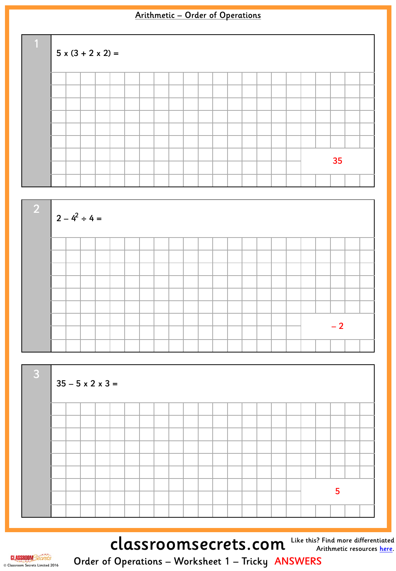| $\overline{1}$ | $5x(3 + 2x2) =$ |  |  |  |  |  |  |  |  |  |  |  |  |  |  |  |  |  |    |  |  |  |  |
|----------------|-----------------|--|--|--|--|--|--|--|--|--|--|--|--|--|--|--|--|--|----|--|--|--|--|
|                |                 |  |  |  |  |  |  |  |  |  |  |  |  |  |  |  |  |  |    |  |  |  |  |
|                |                 |  |  |  |  |  |  |  |  |  |  |  |  |  |  |  |  |  |    |  |  |  |  |
|                |                 |  |  |  |  |  |  |  |  |  |  |  |  |  |  |  |  |  |    |  |  |  |  |
|                |                 |  |  |  |  |  |  |  |  |  |  |  |  |  |  |  |  |  |    |  |  |  |  |
|                |                 |  |  |  |  |  |  |  |  |  |  |  |  |  |  |  |  |  |    |  |  |  |  |
|                |                 |  |  |  |  |  |  |  |  |  |  |  |  |  |  |  |  |  |    |  |  |  |  |
|                |                 |  |  |  |  |  |  |  |  |  |  |  |  |  |  |  |  |  | 35 |  |  |  |  |
|                |                 |  |  |  |  |  |  |  |  |  |  |  |  |  |  |  |  |  |    |  |  |  |  |
|                |                 |  |  |  |  |  |  |  |  |  |  |  |  |  |  |  |  |  |    |  |  |  |  |





classroomsecrets.com



**CLASSROOM** Secrets © Classroom Secrets Limited 2016

Order of Operations – Worksheet 1 – Tricky ANSWERS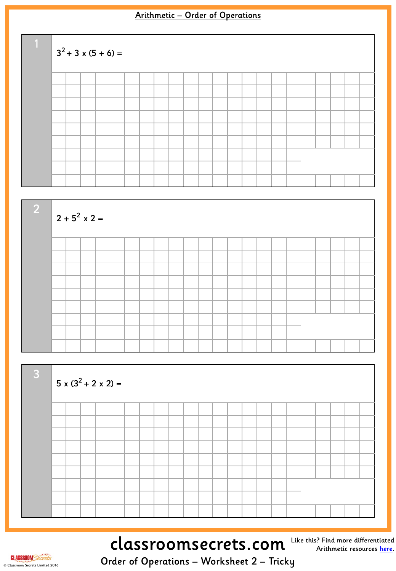| T). | $3^2$ + 3 x (5 + 6) = |  |  |  |  |  |  |  |  |  |  |  |  |  |  |  |  |  |  |
|-----|-----------------------|--|--|--|--|--|--|--|--|--|--|--|--|--|--|--|--|--|--|
|     |                       |  |  |  |  |  |  |  |  |  |  |  |  |  |  |  |  |  |  |
|     |                       |  |  |  |  |  |  |  |  |  |  |  |  |  |  |  |  |  |  |
|     |                       |  |  |  |  |  |  |  |  |  |  |  |  |  |  |  |  |  |  |
|     |                       |  |  |  |  |  |  |  |  |  |  |  |  |  |  |  |  |  |  |
|     |                       |  |  |  |  |  |  |  |  |  |  |  |  |  |  |  |  |  |  |
|     |                       |  |  |  |  |  |  |  |  |  |  |  |  |  |  |  |  |  |  |
|     |                       |  |  |  |  |  |  |  |  |  |  |  |  |  |  |  |  |  |  |
|     |                       |  |  |  |  |  |  |  |  |  |  |  |  |  |  |  |  |  |  |
|     |                       |  |  |  |  |  |  |  |  |  |  |  |  |  |  |  |  |  |  |





## classroomsecrets.com

Like this? Find more differentiated Arithmetic resources [here](http://www.classroomsecrets.com/tag/arithmetic).

**CLASSROOM**Secrets © Classroom Secrets Limited 2016

Order of Operations – Worksheet 2 – Tricky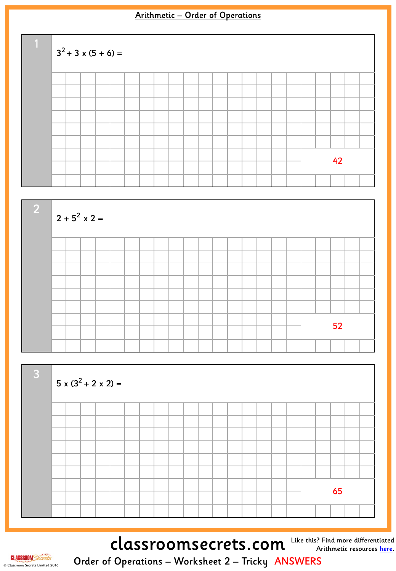| H. | $3^2$ + 3 x (5 + 6) = |  |  |  |  |  |  |  |  |  |  |  |  |  |  |  |    |  |  |  |  |  |  |
|----|-----------------------|--|--|--|--|--|--|--|--|--|--|--|--|--|--|--|----|--|--|--|--|--|--|
|    |                       |  |  |  |  |  |  |  |  |  |  |  |  |  |  |  |    |  |  |  |  |  |  |
|    |                       |  |  |  |  |  |  |  |  |  |  |  |  |  |  |  |    |  |  |  |  |  |  |
|    |                       |  |  |  |  |  |  |  |  |  |  |  |  |  |  |  |    |  |  |  |  |  |  |
|    |                       |  |  |  |  |  |  |  |  |  |  |  |  |  |  |  |    |  |  |  |  |  |  |
|    |                       |  |  |  |  |  |  |  |  |  |  |  |  |  |  |  |    |  |  |  |  |  |  |
|    |                       |  |  |  |  |  |  |  |  |  |  |  |  |  |  |  |    |  |  |  |  |  |  |
|    |                       |  |  |  |  |  |  |  |  |  |  |  |  |  |  |  |    |  |  |  |  |  |  |
|    |                       |  |  |  |  |  |  |  |  |  |  |  |  |  |  |  | 42 |  |  |  |  |  |  |
|    |                       |  |  |  |  |  |  |  |  |  |  |  |  |  |  |  |    |  |  |  |  |  |  |





classroomsecrets.com



Order of Operations – Worksheet 2 – Tricky ANSWERS

Like this? Find more differentiated Arithmetic resources [here](http://www.classroomsecrets.com/tag/arithmetic).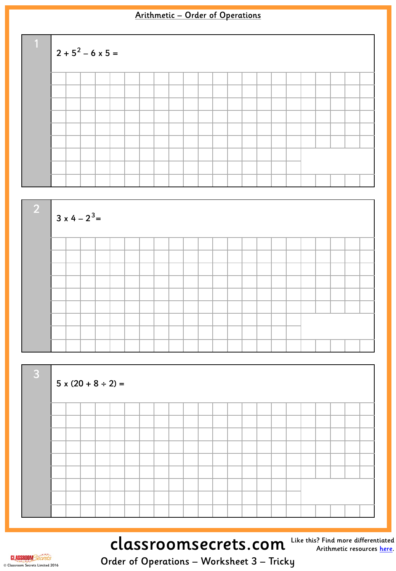





# classroomsecrets.com Like this? Find more differentiated

Arithmetic resources <u>[here](http://www.classroomsecrets.com/tag/arithmetic)</u>.

**CLASSROOM**Secrets © Classroom Secrets Limited 2016

Order of Operations – Worksheet 3 – Tricky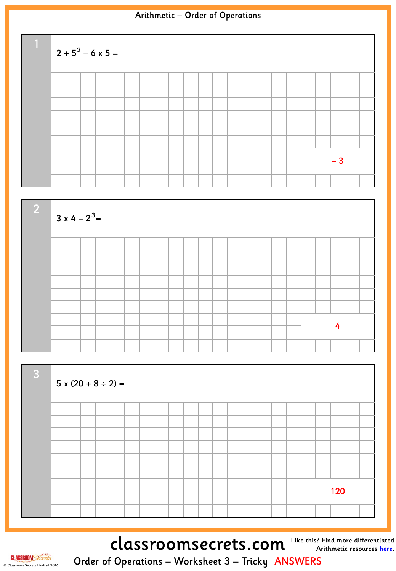





classroomsecrets.com Like this? Find more differentiated



Order of Operations – Worksheet 3 – Tricky ANSWERS

Arithmetic resources <u>[here](http://www.classroomsecrets.com/tag/arithmetic)</u>.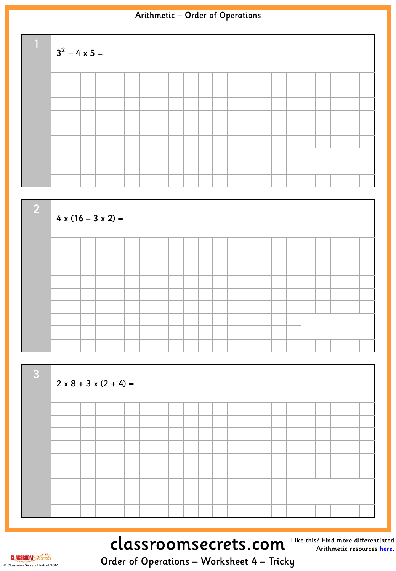





# classroomsecrets.com Like this? Find more differentiated

Arithmetic resources <u>[here](http://www.classroomsecrets.com/tag/arithmetic)</u>.

**CLASSROOM**Secrets © Classroom Secrets Limited 2016

Order of Operations – Worksheet 4 – Tricky